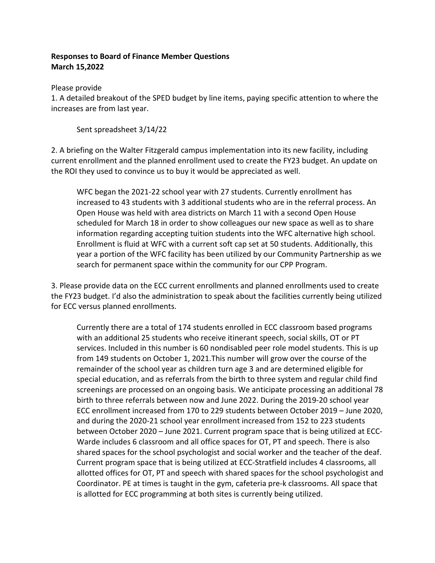## **Responses to Board of Finance Member Questions March 15,2022**

Please provide

1. A detailed breakout of the SPED budget by line items, paying specific attention to where the increases are from last year.

Sent spreadsheet 3/14/22

2. A briefing on the Walter Fitzgerald campus implementation into its new facility, including current enrollment and the planned enrollment used to create the FY23 budget. An update on the ROI they used to convince us to buy it would be appreciated as well.

WFC began the 2021-22 school year with 27 students. Currently enrollment has increased to 43 students with 3 additional students who are in the referral process. An Open House was held with area districts on March 11 with a second Open House scheduled for March 18 in order to show colleagues our new space as well as to share information regarding accepting tuition students into the WFC alternative high school. Enrollment is fluid at WFC with a current soft cap set at 50 students. Additionally, this year a portion of the WFC facility has been utilized by our Community Partnership as we search for permanent space within the community for our CPP Program.

3. Please provide data on the ECC current enrollments and planned enrollments used to create the FY23 budget. I'd also the administration to speak about the facilities currently being utilized for ECC versus planned enrollments.

Currently there are a total of 174 students enrolled in ECC classroom based programs with an additional 25 students who receive itinerant speech, social skills, OT or PT services. Included in this number is 60 nondisabled peer role model students. This is up from 149 students on October 1, 2021.This number will grow over the course of the remainder of the school year as children turn age 3 and are determined eligible for special education, and as referrals from the birth to three system and regular child find screenings are processed on an ongoing basis. We anticipate processing an additional 78 birth to three referrals between now and June 2022. During the 2019-20 school year ECC enrollment increased from 170 to 229 students between October 2019 – June 2020, and during the 2020-21 school year enrollment increased from 152 to 223 students between October 2020 – June 2021. Current program space that is being utilized at ECC-Warde includes 6 classroom and all office spaces for OT, PT and speech. There is also shared spaces for the school psychologist and social worker and the teacher of the deaf. Current program space that is being utilized at ECC-Stratfield includes 4 classrooms, all allotted offices for OT, PT and speech with shared spaces for the school psychologist and Coordinator. PE at times is taught in the gym, cafeteria pre-k classrooms. All space that is allotted for ECC programming at both sites is currently being utilized.